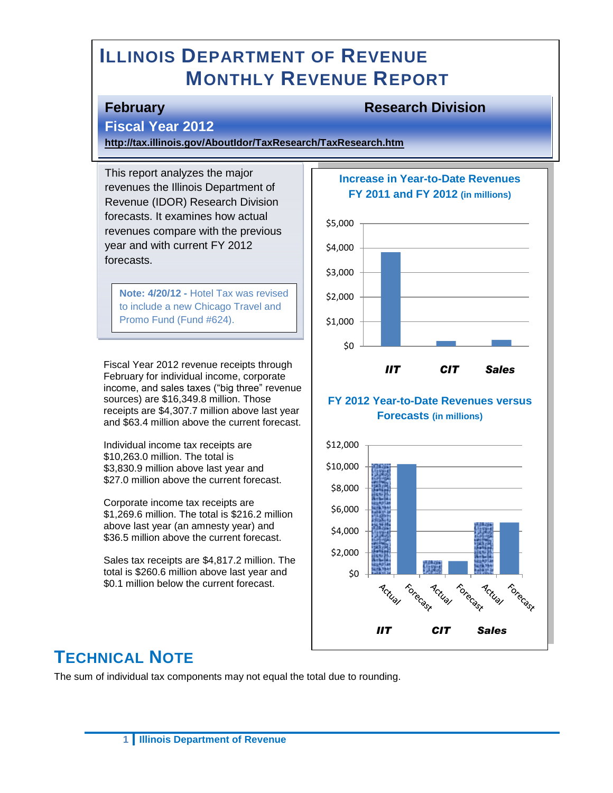# **ILLINOIS DEPARTMENT OF REVENUE MONTHLY REVENUE REPORT**

### **February Research Division**

## **Fiscal Year 2012**

**<http://tax.illinois.gov/AboutIdor/TaxResearch/TaxResearch.htm>**

This report analyzes the major revenues the Illinois Department of Revenue (IDOR) Research Division forecasts. It examines how actual revenues compare with the previous year and with current FY 2012 forecasts.

**Note: 4/20/12 -** Hotel Tax was revised to include a new Chicago Travel and Promo Fund (Fund #624).

Fiscal Year 2012 revenue receipts through February for individual income, corporate income, and sales taxes ("big three" revenue sources) are \$16,349.8 million. Those receipts are \$4,307.7 million above last year and \$63.4 million above the current forecast.

Individual income tax receipts are \$10,263.0 million. The total is \$3,830.9 million above last year and \$27.0 million above the current forecast.

Corporate income tax receipts are \$1,269.6 million. The total is \$216.2 million above last year (an amnesty year) and \$36.5 million above the current forecast.

Sales tax receipts are \$4,817.2 million. The total is \$260.6 million above last year and \$0.1 million below the current forecast.

#### **Increase in Year-to-Date Revenues FY 2011 and FY 2012 (in millions)**



#### **FY 2012 Year-to-Date Revenues versus Forecasts (in millions)**



## **TECHNICAL NOTE**

The sum of individual tax components may not equal the total due to rounding.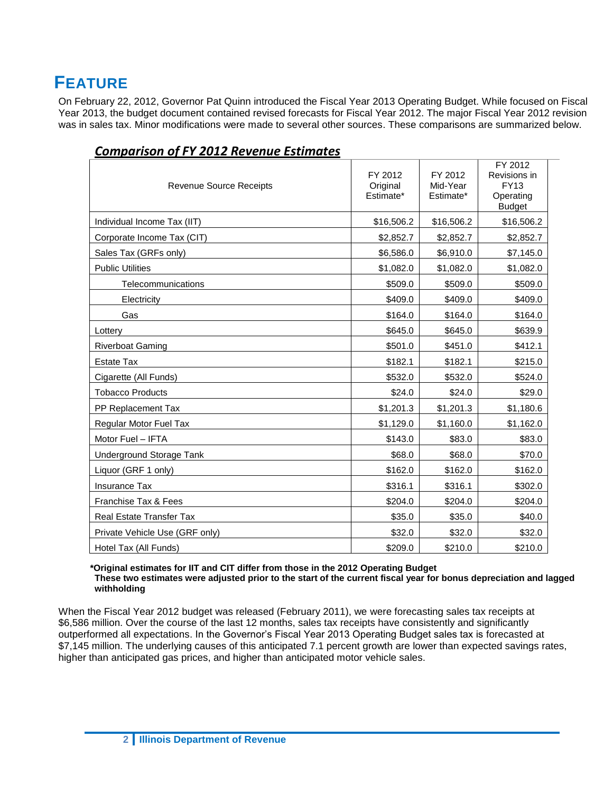# **FEATURE**

On February 22, 2012, Governor Pat Quinn introduced the Fiscal Year 2013 Operating Budget. While focused on Fiscal Year 2013, the budget document contained revised forecasts for Fiscal Year 2012. The major Fiscal Year 2012 revision was in sales tax. Minor modifications were made to several other sources. These comparisons are summarized below.

| <b>Revenue Source Receipts</b> | FY 2012<br>Original<br>Estimate* | FY 2012<br>Mid-Year<br>Estimate* | FY 2012<br>Revisions in<br><b>FY13</b><br>Operating<br><b>Budget</b> |
|--------------------------------|----------------------------------|----------------------------------|----------------------------------------------------------------------|
| Individual Income Tax (IIT)    | \$16,506.2                       | \$16,506.2                       | \$16,506.2                                                           |
| Corporate Income Tax (CIT)     | \$2,852.7                        | \$2,852.7                        | \$2,852.7                                                            |
| Sales Tax (GRFs only)          | \$6,586.0                        | \$6,910.0                        | \$7,145.0                                                            |
| <b>Public Utilities</b>        | \$1,082.0                        | \$1,082.0                        | \$1,082.0                                                            |
| Telecommunications             | \$509.0                          | \$509.0                          | \$509.0                                                              |
| Electricity                    | \$409.0                          | \$409.0                          | \$409.0                                                              |
| Gas                            | \$164.0                          | \$164.0                          | \$164.0                                                              |
| Lottery                        | \$645.0                          | \$645.0                          | \$639.9                                                              |
| <b>Riverboat Gaming</b>        | \$501.0                          | \$451.0                          | \$412.1                                                              |
| <b>Estate Tax</b>              | \$182.1                          | \$182.1                          | \$215.0                                                              |
| Cigarette (All Funds)          | \$532.0                          | \$532.0                          | \$524.0                                                              |
| <b>Tobacco Products</b>        | \$24.0                           | \$24.0                           | \$29.0                                                               |
| PP Replacement Tax             | \$1,201.3                        | \$1,201.3                        | \$1,180.6                                                            |
| Regular Motor Fuel Tax         | \$1,129.0                        | \$1,160.0                        | \$1,162.0                                                            |
| Motor Fuel - IFTA              | \$143.0                          | \$83.0                           | \$83.0                                                               |
| Underground Storage Tank       | \$68.0                           | \$68.0                           | \$70.0                                                               |
| Liquor (GRF 1 only)            | \$162.0                          | \$162.0                          | \$162.0                                                              |
| <b>Insurance Tax</b>           | \$316.1                          | \$316.1                          | \$302.0                                                              |
| Franchise Tax & Fees           | \$204.0                          | \$204.0                          | \$204.0                                                              |
| Real Estate Transfer Tax       | \$35.0                           | \$35.0                           | \$40.0                                                               |
| Private Vehicle Use (GRF only) | \$32.0                           | \$32.0                           | \$32.0                                                               |
| Hotel Tax (All Funds)          | \$209.0                          | \$210.0                          | \$210.0                                                              |

### *Comparison of FY 2012 Revenue Estimates*

**\*Original estimates for IIT and CIT differ from those in the 2012 Operating Budget**

**These two estimates were adjusted prior to the start of the current fiscal year for bonus depreciation and lagged withholding**

When the Fiscal Year 2012 budget was released (February 2011), we were forecasting sales tax receipts at \$6,586 million. Over the course of the last 12 months, sales tax receipts have consistently and significantly outperformed all expectations. In the Governor's Fiscal Year 2013 Operating Budget sales tax is forecasted at \$7,145 million. The underlying causes of this anticipated 7.1 percent growth are lower than expected savings rates, higher than anticipated gas prices, and higher than anticipated motor vehicle sales.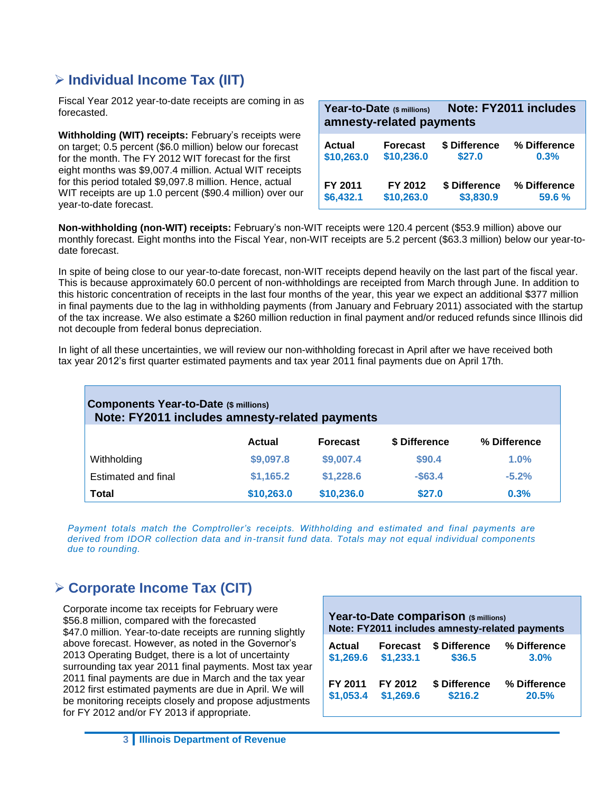## **Individual Income Tax (IIT)**

Fiscal Year 2012 year-to-date receipts are coming in as forecasted.

**Withholding (WIT) receipts:** February's receipts were on target; 0.5 percent (\$6.0 million) below our forecast for the month. The FY 2012 WIT forecast for the first eight months was \$9,007.4 million. Actual WIT receipts for this period totaled \$9,097.8 million. Hence, actual WIT receipts are up 1.0 percent (\$90.4 million) over our year-to-date forecast.

| <b>Note: FY2011 includes</b><br>Year-to-Date (\$ millions)<br>amnesty-related payments |                 |               |              |  |  |  |  |  |
|----------------------------------------------------------------------------------------|-----------------|---------------|--------------|--|--|--|--|--|
| <b>Actual</b>                                                                          | <b>Forecast</b> | \$ Difference | % Difference |  |  |  |  |  |
| \$10,263.0                                                                             | \$10,236.0      | \$27.0        | 0.3%         |  |  |  |  |  |
| FY 2011                                                                                | FY 2012         | \$ Difference | % Difference |  |  |  |  |  |
| \$6,432.1                                                                              | \$10,263.0      | \$3,830.9     | 59.6 %       |  |  |  |  |  |

**Non-withholding (non-WIT) receipts:** February's non-WIT receipts were 120.4 percent (\$53.9 million) above our monthly forecast. Eight months into the Fiscal Year, non-WIT receipts are 5.2 percent (\$63.3 million) below our year-todate forecast.

In spite of being close to our year-to-date forecast, non-WIT receipts depend heavily on the last part of the fiscal year. This is because approximately 60.0 percent of non-withholdings are receipted from March through June. In addition to this historic concentration of receipts in the last four months of the year, this year we expect an additional \$377 million in final payments due to the lag in withholding payments (from January and February 2011) associated with the startup of the tax increase. We also estimate a \$260 million reduction in final payment and/or reduced refunds since Illinois did not decouple from federal bonus depreciation.

In light of all these uncertainties, we will review our non-withholding forecast in April after we have received both tax year 2012's first quarter estimated payments and tax year 2011 final payments due on April 17th.

| <b>Components Year-to-Date (\$ millions)</b><br>Note: FY2011 includes amnesty-related payments |            |            |            |         |  |  |  |  |  |  |
|------------------------------------------------------------------------------------------------|------------|------------|------------|---------|--|--|--|--|--|--|
| \$ Difference<br>% Difference<br><b>Actual</b><br><b>Forecast</b>                              |            |            |            |         |  |  |  |  |  |  |
| Withholding                                                                                    | \$9,097.8  | \$9,007.4  | \$90.4     | 1.0%    |  |  |  |  |  |  |
| Estimated and final                                                                            | \$1,165.2  | \$1,228.6  | $-$ \$63.4 | $-5.2%$ |  |  |  |  |  |  |
| <b>Total</b>                                                                                   | \$10,263.0 | \$10,236.0 | \$27.0     | 0.3%    |  |  |  |  |  |  |

*Payment totals match the Comptroller's receipts. Withholding and estimated and final payments are derived from IDOR collection data and in-transit fund data. Totals may not equal individual components due to rounding.* 

## **Corporate Income Tax (CIT)**

Corporate income tax receipts for February were \$56.8 million, compared with the forecasted \$47.0 million. Year-to-date receipts are running slightly above forecast. However, as noted in the Governor's 2013 Operating Budget, there is a lot of uncertainty surrounding tax year 2011 final payments. Most tax year 2011 final payments are due in March and the tax year 2012 first estimated payments are due in April. We will be monitoring receipts closely and propose adjustments for FY 2012 and/or FY 2013 if appropriate.

|               |                 | Year-to-Date comparison (\$ millions)<br>Note: FY2011 includes amnesty-related payments |              |
|---------------|-----------------|-----------------------------------------------------------------------------------------|--------------|
| <b>Actual</b> | <b>Forecast</b> | \$ Difference                                                                           | % Difference |
| \$1,269.6     | \$1,233.1       | \$36.5                                                                                  | 3.0%         |
| FY 2011       | FY 2012         | \$ Difference                                                                           | % Difference |
| \$1,053.4     | \$1,269.6       | \$216.2                                                                                 | 20.5%        |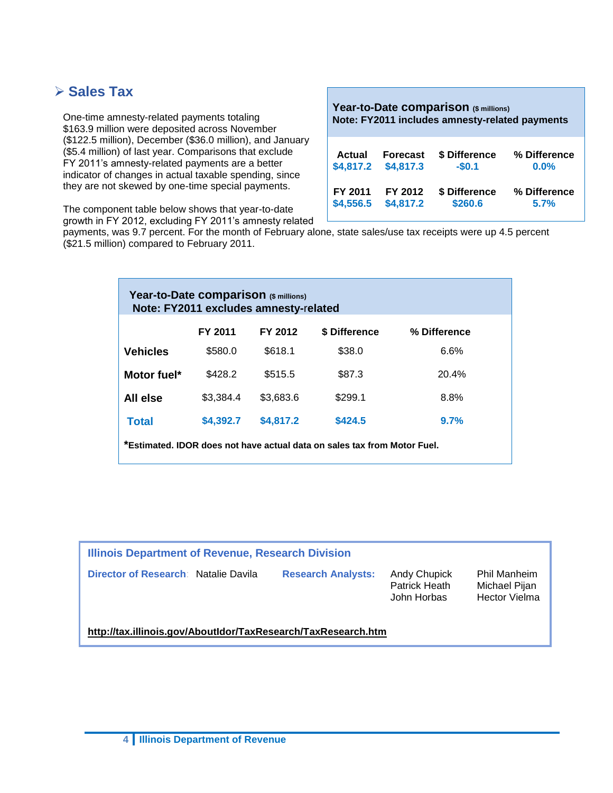## **Sales Tax**

One-time amnesty-related payments totaling \$163.9 million were deposited across November (\$122.5 million), December (\$36.0 million), and January (\$5.4 million) of last year. Comparisons that exclude FY 2011's amnesty-related payments are a better indicator of changes in actual taxable spending, since they are not skewed by one-time special payments.

The component table below shows that year-to-date growth in FY 2012, excluding FY 2011's amnesty related

| Year-to-Date comparison (\$ millions)          |
|------------------------------------------------|
| Note: FY2011 includes amnesty-related payments |

| Actual    | <b>Forecast</b> | \$ Difference | % Difference |  |  |  |
|-----------|-----------------|---------------|--------------|--|--|--|
| \$4,817.2 | \$4,817.3       | $-$0.1$       | $0.0\%$      |  |  |  |
| FY 2011   | FY 2012         | \$ Difference | % Difference |  |  |  |
| \$4,556.5 | \$4,817.2       | \$260.6       | 5.7%         |  |  |  |

payments, was 9.7 percent. For the month of February alone, state sales/use tax receipts were up 4.5 percent (\$21.5 million) compared to February 2011.

| Year-to-Date comparison (\$ millions)<br>Note: FY2011 excludes amnesty-related |                                                                          |           |               |              |  |  |  |  |  |  |
|--------------------------------------------------------------------------------|--------------------------------------------------------------------------|-----------|---------------|--------------|--|--|--|--|--|--|
|                                                                                | FY 2011                                                                  | FY 2012   | \$ Difference | % Difference |  |  |  |  |  |  |
| <b>Vehicles</b>                                                                | \$580.0                                                                  | \$618.1   | \$38.0        | 6.6%         |  |  |  |  |  |  |
| Motor fuel*                                                                    | \$428.2                                                                  | \$515.5   | \$87.3        | 20.4%        |  |  |  |  |  |  |
| All else                                                                       | \$3,384.4                                                                | \$3,683.6 | \$299.1       | 8.8%         |  |  |  |  |  |  |
| <b>Total</b>                                                                   | \$4,392.7                                                                | \$4,817.2 | \$424.5       | 9.7%         |  |  |  |  |  |  |
|                                                                                | *Estimated. IDOR does not have actual data on sales tax from Motor Fuel. |           |               |              |  |  |  |  |  |  |

| Illinois Department of Revenue, Research Division             |                           |                                              |                                                       |  |  |  |  |  |  |
|---------------------------------------------------------------|---------------------------|----------------------------------------------|-------------------------------------------------------|--|--|--|--|--|--|
| Director of Research: Natalie Davila                          | <b>Research Analysts:</b> | Andy Chupick<br>Patrick Heath<br>John Horbas | Phil Manheim<br>Michael Pijan<br><b>Hector Vielma</b> |  |  |  |  |  |  |
| http://tax.illinois.gov/AboutIdor/TaxResearch/TaxResearch.htm |                           |                                              |                                                       |  |  |  |  |  |  |